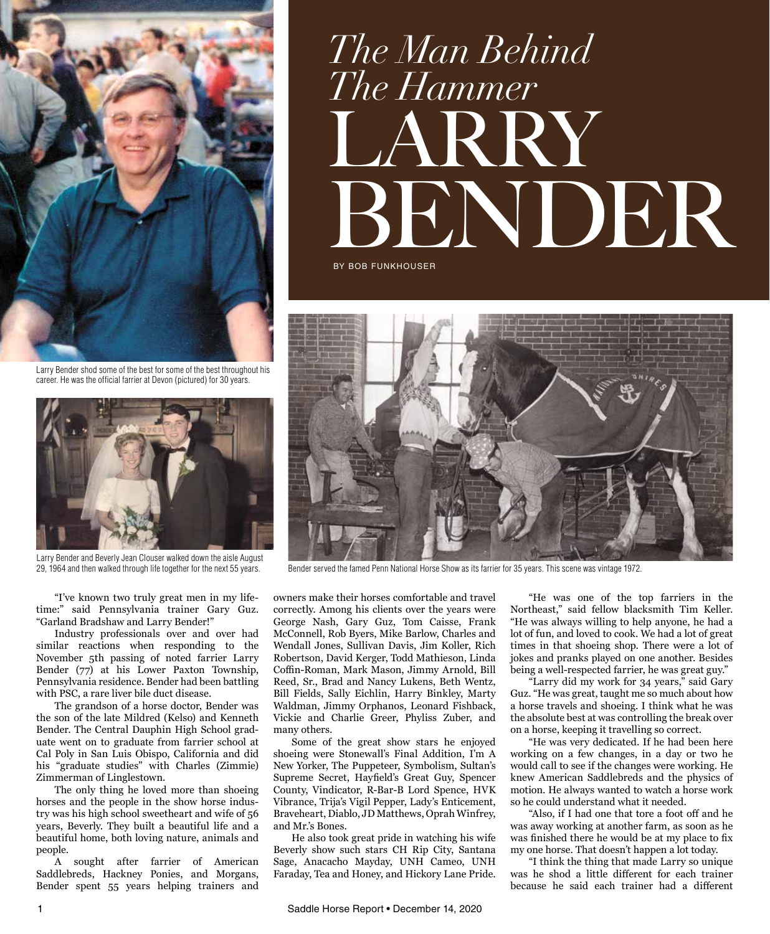

Larry Bender shod some of the best for some of the best throughout his career. He was the official farrier at Devon (pictured) for 30 years.



Larry Bender and Beverly Jean Clouser walked down the aisle August 29, 1964 and then walked through life together for the next 55 years.

"I've known two truly great men in my lifetime:" said Pennsylvania trainer Gary Guz. "Garland Bradshaw and Larry Bender!"

Industry professionals over and over had similar reactions when responding to the November 5th passing of noted farrier Larry Bender (77) at his Lower Paxton Township, Pennsylvania residence. Bender had been battling with PSC, a rare liver bile duct disease.

The grandson of a horse doctor, Bender was the son of the late Mildred (Kelso) and Kenneth Bender. The Central Dauphin High School graduate went on to graduate from farrier school at Cal Poly in San Luis Obispo, California and did his "graduate studies" with Charles (Zimmie) Zimmerman of Linglestown.

The only thing he loved more than shoeing horses and the people in the show horse industry was his high school sweetheart and wife of 56 years, Beverly. They built a beautiful life and a beautiful home, both loving nature, animals and people.

A sought after farrier of American Saddlebreds, Hackney Ponies, and Morgans, Bender spent 55 years helping trainers and

## LARRY BENDER BY BOB FUNKHOUSER *The Man Behind The Hammer*



Bender served the famed Penn National Horse Show as its farrier for 35 years. This scene was vintage 1972.

owners make their horses comfortable and travel correctly. Among his clients over the years were George Nash, Gary Guz, Tom Caisse, Frank McConnell, Rob Byers, Mike Barlow, Charles and Wendall Jones, Sullivan Davis, Jim Koller, Rich Robertson, David Kerger, Todd Mathieson, Linda Coffin-Roman, Mark Mason, Jimmy Arnold, Bill Reed, Sr., Brad and Nancy Lukens, Beth Wentz, Bill Fields, Sally Eichlin, Harry Binkley, Marty Waldman, Jimmy Orphanos, Leonard Fishback, Vickie and Charlie Greer, Phyliss Zuber, and many others.

Some of the great show stars he enjoyed shoeing were Stonewall's Final Addition, I'm A New Yorker, The Puppeteer, Symbolism, Sultan's Supreme Secret, Hayfield's Great Guy, Spencer County, Vindicator, R-Bar-B Lord Spence, HVK Vibrance, Trija's Vigil Pepper, Lady's Enticement, Braveheart, Diablo, JD Matthews, Oprah Winfrey, and Mr.'s Bones.

He also took great pride in watching his wife Beverly show such stars CH Rip City, Santana Sage, Anacacho Mayday, UNH Cameo, UNH Faraday, Tea and Honey, and Hickory Lane Pride.

"He was one of the top farriers in the Northeast," said fellow blacksmith Tim Keller. "He was always willing to help anyone, he had a lot of fun, and loved to cook. We had a lot of great times in that shoeing shop. There were a lot of jokes and pranks played on one another. Besides being a well-respected farrier, he was great guy."

"Larry did my work for 34 years," said Gary Guz. "He was great, taught me so much about how a horse travels and shoeing. I think what he was the absolute best at was controlling the break over on a horse, keeping it travelling so correct.

"He was very dedicated. If he had been here working on a few changes, in a day or two he would call to see if the changes were working. He knew American Saddlebreds and the physics of motion. He always wanted to watch a horse work so he could understand what it needed.

"Also, if I had one that tore a foot off and he was away working at another farm, as soon as he was finished there he would be at my place to fix my one horse. That doesn't happen a lot today.

"I think the thing that made Larry so unique was he shod a little different for each trainer because he said each trainer had a different